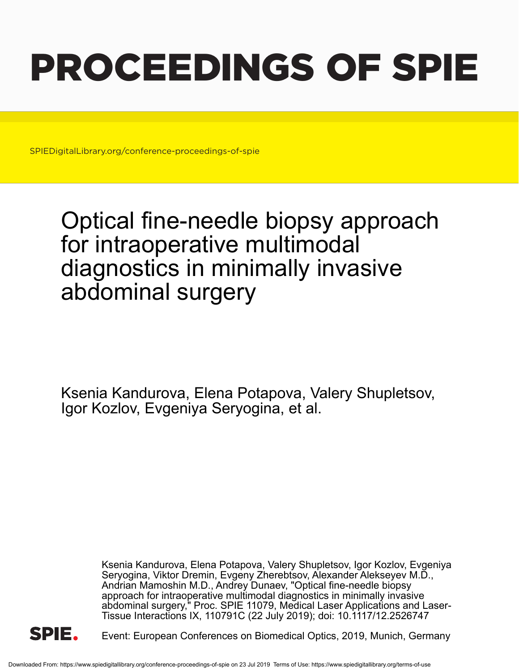# PROCEEDINGS OF SPIE

SPIEDigitalLibrary.org/conference-proceedings-of-spie

## Optical fine-needle biopsy approach for intraoperative multimodal diagnostics in minimally invasive abdominal surgery

Ksenia Kandurova, Elena Potapova, Valery Shupletsov, Igor Kozlov, Evgeniya Seryogina, et al.

> Ksenia Kandurova, Elena Potapova, Valery Shupletsov, Igor Kozlov, Evgeniya Seryogina, Viktor Dremin, Evgeny Zherebtsov, Alexander Alekseyev M.D., Andrian Mamoshin M.D., Andrey Dunaev, "Optical fine-needle biopsy approach for intraoperative multimodal diagnostics in minimally invasive abdominal surgery," Proc. SPIE 11079, Medical Laser Applications and Laser-Tissue Interactions IX, 110791C (22 July 2019); doi: 10.1117/12.2526747



Event: European Conferences on Biomedical Optics, 2019, Munich, Germany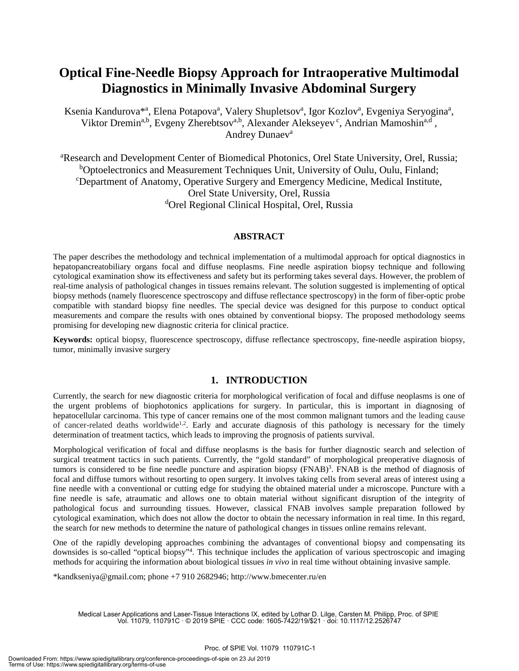### **Optical Fine-Needle Biopsy Approach for Intraoperative Multimodal Diagnostics in Minimally Invasive Abdominal Surgery**

Ksenia Kandurova<sup>\*a</sup>, Elena Potapova<sup>a</sup>, Valery Shupletsov<sup>a</sup>, Igor Kozlov<sup>a</sup>, Evgeniya Seryogina<sup>a</sup>, Viktor Dremin<sup>a,b</sup>, Evgeny Zherebtsov<sup>a,b</sup>, Alexander Alekseyev<sup>c</sup>, Andrian Mamoshin<sup>a,d</sup>, Andrey Dunaev<sup>a</sup>

<sup>a</sup>Research and Development Center of Biomedical Photonics, Orel State University, Orel, Russia; <sup>b</sup>Optoelectronics and Measurement Techniques Unit, University of Oulu, Oulu, Finland; c Department of Anatomy, Operative Surgery and Emergency Medicine, Medical Institute, Orel State University, Orel, Russia dOrel Regional Clinical Hospital, Orel, Russia

#### **ABSTRACT**

The paper describes the methodology and technical implementation of a multimodal approach for optical diagnostics in hepatopancreatobiliary organs focal and diffuse neoplasms. Fine needle aspiration biopsy technique and following cytological examination show its effectiveness and safety but its performing takes several days. However, the problem of real-time analysis of pathological changes in tissues remains relevant. The solution suggested is implementing of optical biopsy methods (namely fluorescence spectroscopy and diffuse reflectance spectroscopy) in the form of fiber-optic probe compatible with standard biopsy fine needles. The special device was designed for this purpose to conduct optical measurements and compare the results with ones obtained by conventional biopsy. The proposed methodology seems promising for developing new diagnostic criteria for clinical practice.

**Keywords:** optical biopsy, fluorescence spectroscopy, diffuse reflectance spectroscopy, fine-needle aspiration biopsy, tumor, minimally invasive surgery

#### **1. INTRODUCTION**

Currently, the search for new diagnostic criteria for morphological verification of focal and diffuse neoplasms is one of the urgent problems of biophotonics applications for surgery. In particular, this is important in diagnosing of hepatocellular carcinoma. This type of cancer remains one of the most common malignant tumors and the leading cause of cancer-related deaths worldwide<sup>1,2</sup>. Early and accurate diagnosis of this pathology is necessary for the timely determination of treatment tactics, which leads to improving the prognosis of patients survival.

Morphological verification of focal and diffuse neoplasms is the basis for further diagnostic search and selection of surgical treatment tactics in such patients. Currently, the "gold standard" of morphological preoperative diagnosis of tumors is considered to be fine needle puncture and aspiration biopsy (FNAB) 3 . FNAB is the method of diagnosis of focal and diffuse tumors without resorting to open surgery. It involves taking cells from several areas of interest using a fine needle with a conventional or cutting edge for studying the obtained material under a microscope. Puncture with a fine needle is safe, atraumatic and allows one to obtain material without significant disruption of the integrity of pathological focus and surrounding tissues. However, classical FNAB involves sample preparation followed by cytological examination, which does not allow the doctor to obtain the necessary information in real time. In this regard, the search for new methods to determine the nature of pathological changes in tissues online remains relevant.

One of the rapidly developing approaches combining the advantages of conventional biopsy and compensating its downsides is so-called "optical biopsy"4 . This technique includes the application of various spectroscopic and imaging methods for acquiring the information about biological tissues *in vivo* in real time without obtaining invasive sample.

\*kandkseniya@gmail.com; phone +7 910 2682946; http://www.bmecenter.ru/en

Medical Laser Applications and Laser-Tissue Interactions IX, edited by Lothar D. Lilge, Carsten M. Philipp, Proc. of SPIE Vol. 11079, 110791C · © 2019 SPIE · CCC code: 1605-7422/19/\$21 · doi: 10.1117/12.2526747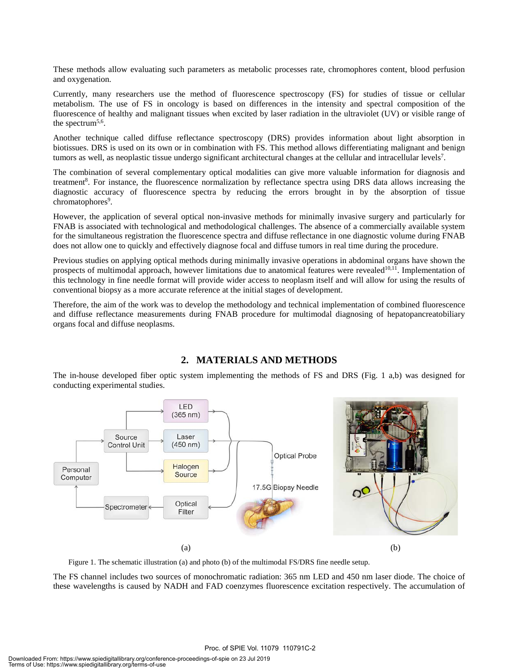These methods allow evaluating such parameters as metabolic processes rate, chromophores content, blood perfusion and oxygenation.

Currently, many researchers use the method of fluorescence spectroscopy (FS) for studies of tissue or cellular metabolism. The use of FS in oncology is based on differences in the intensity and spectral composition of the fluorescence of healthy and malignant tissues when excited by laser radiation in the ultraviolet (UV) or visible range of the spectrum<sup>5,6</sup>.

Another technique called diffuse reflectance spectroscopy (DRS) provides information about light absorption in biotissues. DRS is used on its own or in combination with FS. This method allows differentiating malignant and benign tumors as well, as neoplastic tissue undergo significant architectural changes at the cellular and intracellular levels<sup>7</sup>.

The combination of several complementary optical modalities can give more valuable information for diagnosis and treatment<sup>8</sup>. For instance, the fluorescence normalization by reflectance spectra using DRS data allows increasing the diagnostic accuracy of fluorescence spectra by reducing the errors brought in by the absorption of tissue chromatophores<sup>9</sup>.

However, the application of several optical non-invasive methods for minimally invasive surgery and particularly for FNAB is associated with technological and methodological challenges. The absence of a commercially available system for the simultaneous registration the fluorescence spectra and diffuse reflectance in one diagnostic volume during FNAB does not allow one to quickly and effectively diagnose focal and diffuse tumors in real time during the procedure.

Previous studies on applying optical methods during minimally invasive operations in abdominal organs have shown the prospects of multimodal approach, however limitations due to anatomical features were revealed $10,11$ . Implementation of this technology in fine needle format will provide wider access to neoplasm itself and will allow for using the results of conventional biopsy as a more accurate reference at the initial stages of development.

Therefore, the aim of the work was to develop the methodology and technical implementation of combined fluorescence and diffuse reflectance measurements during FNAB procedure for multimodal diagnosing of hepatopancreatobiliary organs focal and diffuse neoplasms.

#### **2. MATERIALS AND METHODS**

The in-house developed fiber optic system implementing the methods of FS and DRS (Fig. 1 a,b) was designed for conducting experimental studies.



Figure 1. The schematic illustration (a) and photo (b) of the multimodal FS/DRS fine needle setup.

The FS channel includes two sources of monochromatic radiation: 365 nm LED and 450 nm laser diode. The choice of these wavelengths is caused by NADH and FAD coenzymes fluorescence excitation respectively. The accumulation of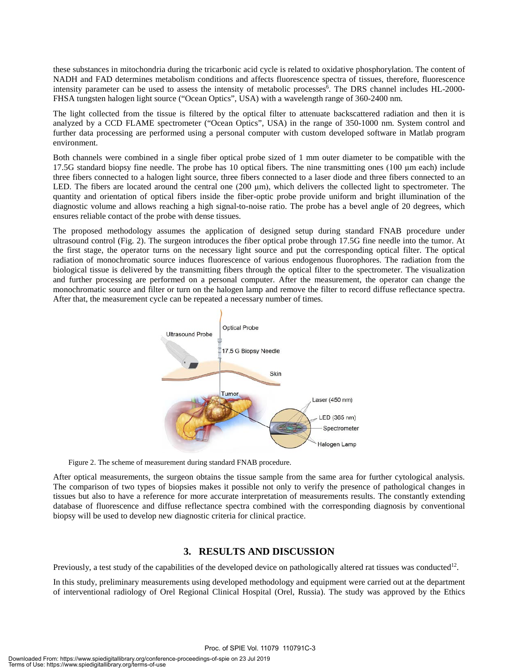these substances in mitochondria during the tricarbonic acid cycle is related to oxidative phosphorylation. The content of NADH and FAD determines metabolism conditions and affects fluorescence spectra of tissues, therefore, fluorescence intensity parameter can be used to assess the intensity of metabolic processes<sup>6</sup>. The DRS channel includes HL-2000-FHSA tungsten halogen light source ("Ocean Optics", USA) with a wavelength range of 360-2400 nm.

The light collected from the tissue is filtered by the optical filter to attenuate backscattered radiation and then it is analyzed by a CCD FLAME spectrometer ("Ocean Optics", USA) in the range of 350-1000 nm. System control and further data processing are performed using a personal computer with custom developed software in Matlab program environment.

Both channels were combined in a single fiber optical probe sized of 1 mm outer diameter to be compatible with the 17.5G standard biopsy fine needle. The probe has 10 optical fibers. The nine transmitting ones  $(100 \mu m)$  each) include three fibers connected to a halogen light source, three fibers connected to a laser diode and three fibers connected to an LED. The fibers are located around the central one  $(200 \mu m)$ , which delivers the collected light to spectrometer. The quantity and orientation of optical fibers inside the fiber-optic probe provide uniform and bright illumination of the diagnostic volume and allows reaching a high signal-to-noise ratio. The probe has a bevel angle of 20 degrees, which ensures reliable contact of the probe with dense tissues.

The proposed methodology assumes the application of designed setup during standard FNAB procedure under ultrasound control (Fig. 2). The surgeon introduces the fiber optical probe through 17.5G fine needle into the tumor. At the first stage, the operator turns on the necessary light source and put the corresponding optical filter. The optical radiation of monochromatic source induces fluorescence of various endogenous fluorophores. The radiation from the biological tissue is delivered by the transmitting fibers through the optical filter to the spectrometer. The visualization and further processing are performed on a personal computer. After the measurement, the operator can change the monochromatic source and filter or turn on the halogen lamp and remove the filter to record diffuse reflectance spectra. After that, the measurement cycle can be repeated a necessary number of times.



Figure 2. The scheme of measurement during standard FNAB procedure.

After optical measurements, the surgeon obtains the tissue sample from the same area for further cytological analysis. The comparison of two types of biopsies makes it possible not only to verify the presence of pathological changes in tissues but also to have a reference for more accurate interpretation of measurements results. The constantly extending database of fluorescence and diffuse reflectance spectra combined with the corresponding diagnosis by conventional biopsy will be used to develop new diagnostic criteria for clinical practice.

#### **3. RESULTS AND DISCUSSION**

Previously, a test study of the capabilities of the developed device on pathologically altered rat tissues was conducted<sup>12</sup>.

In this study, preliminary measurements using developed methodology and equipment were carried out at the department of interventional radiology of Orel Regional Clinical Hospital (Orel, Russia). The study was approved by the Ethics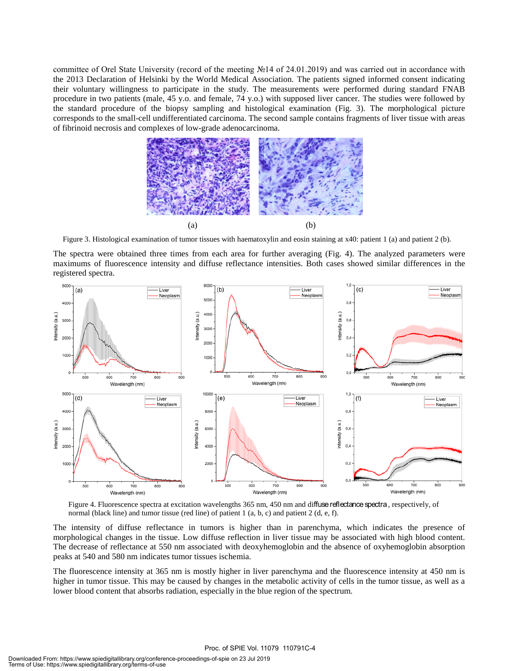committee of Orel State University (record of the meeting №14 of 24.01.2019) and was carried out in accordance with the 2013 Declaration of Helsinki by the World Medical Association. The patients signed informed consent indicating their voluntary willingness to participate in the study. The measurements were performed during standard FNAB procedure in two patients (male, 45 y.o. and female, 74 y.o.) with supposed liver cancer. The studies were followed by the standard procedure of the biopsy sampling and histological examination (Fig. 3). The morphological picture corresponds to the small-cell undifferentiated carcinoma. The second sample contains fragments of liver tissue with areas of fibrinoid necrosis and complexes of low-grade adenocarcinoma.



Figure 3. Histological examination of tumor tissues with haematoxylin and eosin staining at x40: patient 1 (a) and patient 2 (b).

The spectra were obtained three times from each area for further averaging (Fig. 4). The analyzed parameters were maximums of fluorescence intensity and diffuse reflectance intensities. Both cases showed similar differences in the registered spectra.



Figure 4. Fluorescence spectra at excitation wavelengths 365 nm, 450 nm and diffuse reflectance spectra, respectively, of normal (black line) and tumor tissue (red line) of patient 1 (a, b, c) and patient 2 (d, e, f).

The intensity of diffuse reflectance in tumors is higher than in parenchyma, which indicates the presence of morphological changes in the tissue. Low diffuse reflection in liver tissue may be associated with high blood content. The decrease of reflectance at 550 nm associated with deoxyhemoglobin and the absence of oxyhemoglobin absorption peaks at 540 and 580 nm indicates tumor tissues ischemia.

The fluorescence intensity at 365 nm is mostly higher in liver parenchyma and the fluorescence intensity at 450 nm is higher in tumor tissue. This may be caused by changes in the metabolic activity of cells in the tumor tissue, as well as a lower blood content that absorbs radiation, especially in the blue region of the spectrum.